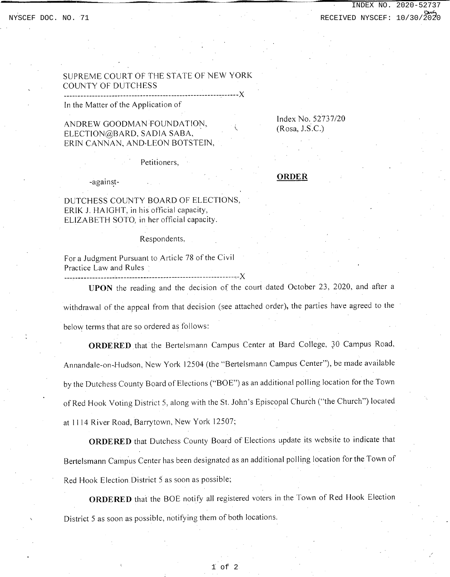## SUPREME COURT OF THE STATE OF NEW YORK COUNTY OF DUTCHESS

In the Matter of the Application of

## ANDREW GOODMAN FOUNDATION, ELECTION@BARD, SADIA SABA, ERIN CANNAN, AND.LEON BOTSTEIN,

-------------------------------------------------------~------)(

Index No. 52737/20  $(Rosa, J.S.C.)$ 

Petitioners,

-against-

#### **ORDER**

DUTCHESS COUNTY BOARD OF ELECTIONS, ERIK J. HAIGHT, in his official capacity, ELIZABETH SOTO, in her official capacity.

Respondents,

For a Judgment Pursuant to Article 78 of the Civil Practice Law and Rules

---c--------------------------------------------------------~-)(

**UPON** the reading and the decision of the court dated October 23, 2020, and after a withdrawal of the appeal from that decision (see attached order), the parties have agreed to the below terms that are so ordered as follows:

**ORDERED** that the Bertelsmann Campus Center at Bard College, 30 Campus Road, Annandale-on-Hudson, New York 12504 (the "Bertelsmann Campus Center"), be made available by the Dutchess County Board of Elections ("BOE") as an additional polling location for the Town of Red Hook Voting District 5, along with the St. John's Episcopal Church ("the Church") located at 1114 River Road, Barrytown, New York 12507;

**ORDERED** that Dutchess County Board of Elections update its website to indicate that Bertelsmann Campus Center has been designated as an additional polling location for the Town of Red Hook Election District 5 as soon as possible;

**ORDERED** that the BOE notify all registered voters in the Town of Red Hook Election District 5 as soon as possible, notifying them of both locations.

1 of 2